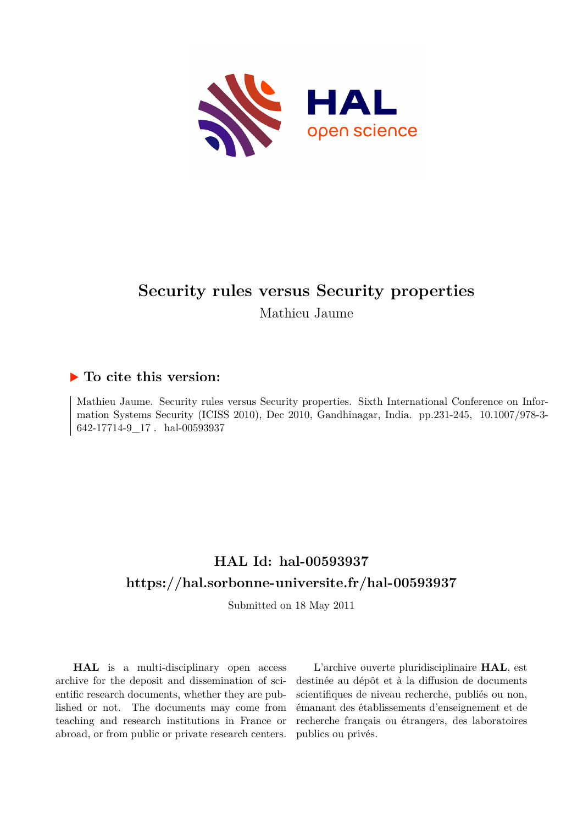

# **Security rules versus Security properties** Mathieu Jaume

## **To cite this version:**

Mathieu Jaume. Security rules versus Security properties. Sixth International Conference on Information Systems Security (ICISS 2010), Dec 2010, Gandhinagar, India. pp.231-245, 10.1007/978-3-642-17714-9 17. hal-00593937

## **HAL Id: hal-00593937 <https://hal.sorbonne-universite.fr/hal-00593937>**

Submitted on 18 May 2011

**HAL** is a multi-disciplinary open access archive for the deposit and dissemination of scientific research documents, whether they are published or not. The documents may come from teaching and research institutions in France or abroad, or from public or private research centers.

L'archive ouverte pluridisciplinaire **HAL**, est destinée au dépôt et à la diffusion de documents scientifiques de niveau recherche, publiés ou non, émanant des établissements d'enseignement et de recherche français ou étrangers, des laboratoires publics ou privés.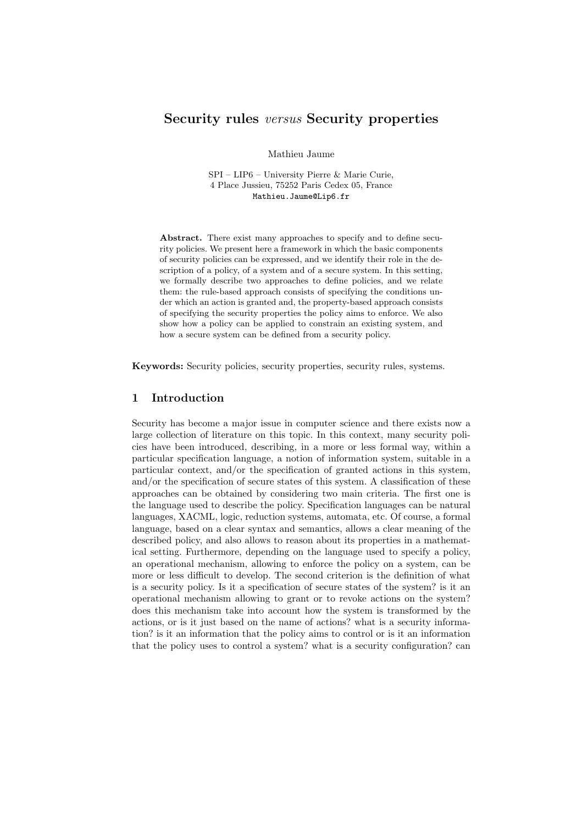### Security rules versus Security properties

Mathieu Jaume

SPI – LIP6 – University Pierre & Marie Curie, 4 Place Jussieu, 75252 Paris Cedex 05, France Mathieu.Jaume@Lip6.fr

Abstract. There exist many approaches to specify and to define security policies. We present here a framework in which the basic components of security policies can be expressed, and we identify their role in the description of a policy, of a system and of a secure system. In this setting, we formally describe two approaches to define policies, and we relate them: the rule-based approach consists of specifying the conditions under which an action is granted and, the property-based approach consists of specifying the security properties the policy aims to enforce. We also show how a policy can be applied to constrain an existing system, and how a secure system can be defined from a security policy.

Keywords: Security policies, security properties, security rules, systems.

#### 1 Introduction

Security has become a major issue in computer science and there exists now a large collection of literature on this topic. In this context, many security policies have been introduced, describing, in a more or less formal way, within a particular specification language, a notion of information system, suitable in a particular context, and/or the specification of granted actions in this system, and/or the specification of secure states of this system. A classification of these approaches can be obtained by considering two main criteria. The first one is the language used to describe the policy. Specification languages can be natural languages, XACML, logic, reduction systems, automata, etc. Of course, a formal language, based on a clear syntax and semantics, allows a clear meaning of the described policy, and also allows to reason about its properties in a mathematical setting. Furthermore, depending on the language used to specify a policy, an operational mechanism, allowing to enforce the policy on a system, can be more or less difficult to develop. The second criterion is the definition of what is a security policy. Is it a specification of secure states of the system? is it an operational mechanism allowing to grant or to revoke actions on the system? does this mechanism take into account how the system is transformed by the actions, or is it just based on the name of actions? what is a security information? is it an information that the policy aims to control or is it an information that the policy uses to control a system? what is a security configuration? can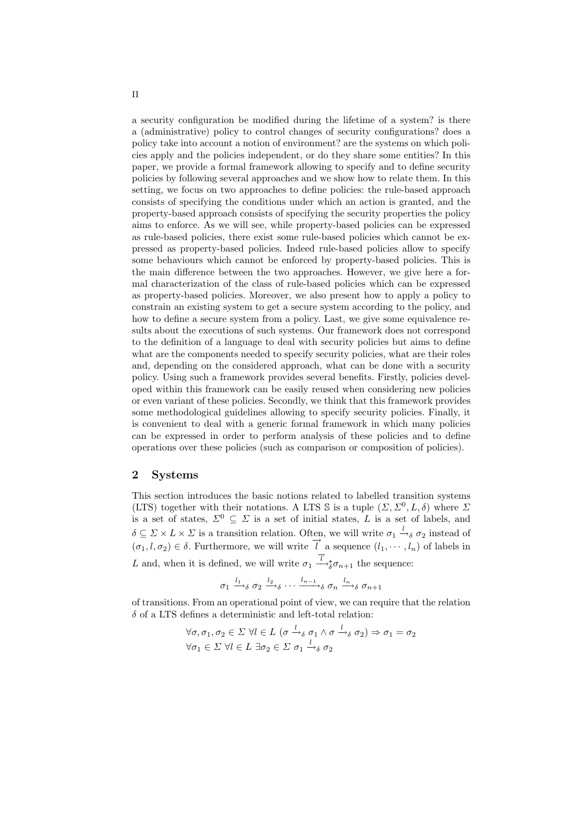a security configuration be modified during the lifetime of a system? is there a (administrative) policy to control changes of security configurations? does a policy take into account a notion of environment? are the systems on which policies apply and the policies independent, or do they share some entities? In this paper, we provide a formal framework allowing to specify and to define security policies by following several approaches and we show how to relate them. In this setting, we focus on two approaches to define policies: the rule-based approach consists of specifying the conditions under which an action is granted, and the property-based approach consists of specifying the security properties the policy aims to enforce. As we will see, while property-based policies can be expressed as rule-based policies, there exist some rule-based policies which cannot be expressed as property-based policies. Indeed rule-based policies allow to specify some behaviours which cannot be enforced by property-based policies. This is the main difference between the two approaches. However, we give here a formal characterization of the class of rule-based policies which can be expressed as property-based policies. Moreover, we also present how to apply a policy to constrain an existing system to get a secure system according to the policy, and how to define a secure system from a policy. Last, we give some equivalence results about the executions of such systems. Our framework does not correspond to the definition of a language to deal with security policies but aims to define what are the components needed to specify security policies, what are their roles and, depending on the considered approach, what can be done with a security policy. Using such a framework provides several benefits. Firstly, policies developed within this framework can be easily reused when considering new policies or even variant of these policies. Secondly, we think that this framework provides some methodological guidelines allowing to specify security policies. Finally, it is convenient to deal with a generic formal framework in which many policies can be expressed in order to perform analysis of these policies and to define operations over these policies (such as comparison or composition of policies).

#### 2 Systems

This section introduces the basic notions related to labelled transition systems (LTS) together with their notations. A LTS S is a tuple  $(\Sigma, \Sigma^0, L, \delta)$  where  $\Sigma$ is a set of states,  $\Sigma^0 \subseteq \Sigma$  is a set of initial states, L is a set of labels, and  $\delta \subseteq \Sigma \times L \times \Sigma$  is a transition relation. Often, we will write  $\sigma_1 \stackrel{l}{\rightarrow} \delta \sigma_2$  instead of  $(\sigma_1, l, \sigma_2) \in \delta$ . Furthermore, we will write  $\vec{l}$  a sequence  $(l_1, \dots, l_n)$  of labels in L and, when it is defined, we will write  $\sigma_1 \stackrel{\overrightarrow{l}}{\longrightarrow} \sigma_{n+1}$  the sequence:

$$
\sigma_1 \xrightarrow{l_1} \sigma_2 \xrightarrow{l_2} \cdots \xrightarrow{l_{n-1}} \sigma_n \xrightarrow{l_n} \sigma_{n+1}
$$

of transitions. From an operational point of view, we can require that the relation  $\delta$  of a LTS defines a deterministic and left-total relation:

$$
\forall \sigma, \sigma_1, \sigma_2 \in \Sigma \ \forall l \in L \ (\sigma \xrightarrow{l} \sigma_1 \land \sigma \xrightarrow{l} \sigma_2) \Rightarrow \sigma_1 = \sigma_2
$$
  

$$
\forall \sigma_1 \in \Sigma \ \forall l \in L \ \exists \sigma_2 \in \Sigma \ \sigma_1 \xrightarrow{l} \sigma_2 \ \sigma_2
$$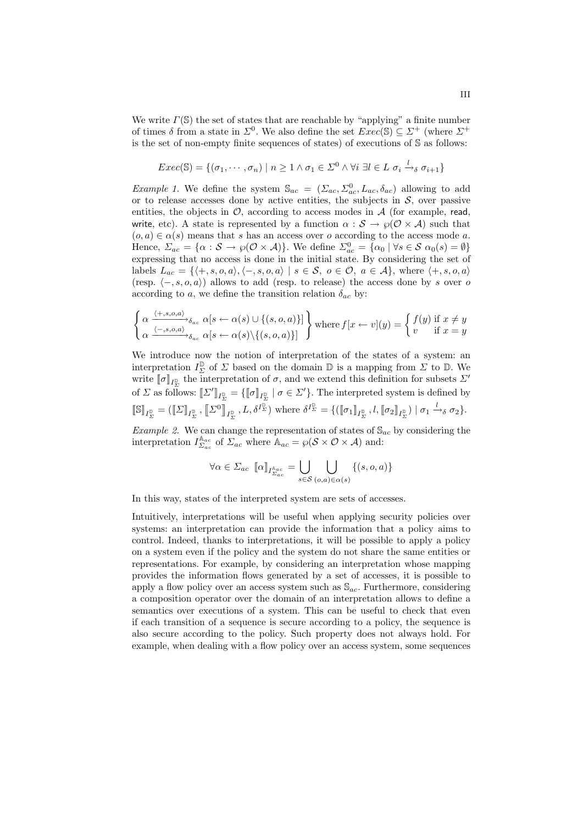We write  $\Gamma(\mathbb{S})$  the set of states that are reachable by "applying" a finite number of times  $\delta$  from a state in  $\Sigma^0$ . We also define the set  $Exec(\mathbb{S}) \subseteq \Sigma^+$  (where  $\Sigma^+$ is the set of non-empty finite sequences of states) of executions of S as follows:

$$
Exec(\mathbb{S}) = \{(\sigma_1, \cdots, \sigma_n) \mid n \geq 1 \land \sigma_1 \in \Sigma^0 \land \forall i \ \exists l \in L \ \sigma_i \xrightarrow{l} \sigma_{i+1}\}
$$

*Example 1.* We define the system  $\mathbb{S}_{ac} = (\Sigma_{ac}, \Sigma_{ac}^0, L_{ac}, \delta_{ac})$  allowing to add or to release accesses done by active entities, the subjects in  $\mathcal{S}$ , over passive entities, the objects in  $\mathcal{O}$ , according to access modes in  $\mathcal{A}$  (for example, read, write, etc). A state is represented by a function  $\alpha : \mathcal{S} \to \varphi(\mathcal{O} \times \mathcal{A})$  such that  $(o, a) \in \alpha(s)$  means that s has an access over o according to the access mode a. Hence,  $\Sigma_{ac} = {\alpha : \mathcal{S} \to \wp(\mathcal{O} \times \mathcal{A})}$ . We define  $\Sigma_{ac}^0 = {\alpha_0 | \forall s \in \mathcal{S} \alpha_0(s) = \emptyset}$ expressing that no access is done in the initial state. By considering the set of labels  $L_{ac} = \{ \langle +, s, o, a \rangle, \langle -, s, o, a \rangle \mid s \in S, o \in \mathcal{O}, a \in \mathcal{A} \},$  where  $\langle +, s, o, a \rangle$ (resp.  $\langle -, s, o, a \rangle$ ) allows to add (resp. to release) the access done by s over o according to a, we define the transition relation  $\delta_{ac}$  by:

$$
\left\{\alpha \xrightarrow{\langle +, s, o, a \rangle} \delta_{ac} \alpha[s \leftarrow \alpha(s) \cup \{(s, o, a)\}] \atop \alpha \xrightarrow{\langle -, s, o, a \rangle} \delta_{ac} \alpha[s \leftarrow \alpha(s) \setminus \{(s, o, a)\}] \right\} \text{ where } f[x \leftarrow v](y) = \begin{cases} f(y) \text{ if } x \neq y \\ v \text{ if } x = y \end{cases}
$$

We introduce now the notion of interpretation of the states of a system: an interpretation  $I_{\Sigma}^{\mathbb{D}}$  of  $\Sigma$  based on the domain  $\mathbb{D}$  is a mapping from  $\Sigma$  to  $\mathbb{D}$ . We write  $[\![\sigma]\!]_{I_{\Sigma}^{\mathbb{D}}}$  the interpretation of  $\sigma$ , and we extend this definition for subsets  $\Sigma'$ of  $\Sigma$  as follows:  $[\![\Sigma']\!]_{I_{\Sigma}^{\mathbb{D}}}^{-1} = {\[\![\sigma]\!]_{I_{\Sigma}^{\mathbb{D}}}} \mid \sigma \in \Sigma' {\}$ . The interpreted system is defined by  $[\![\mathbb{S}]\!]_{I_{\Sigma}^{\mathbb{D}}} = ([\![\boldsymbol{\varSigma}]\!]_{I_{\Sigma}^{\mathbb{D}}}, [\![\boldsymbol{\varSigma}^0]\!]_{I_{\Sigma}^{\mathbb{D}}},L,\delta^{I_{\Sigma}^{\mathbb{D}}}) \text{ where } \delta^{I_{\Sigma}^{\mathbb{D}}} = \{([\![\sigma_1]\!]_{I_{\Sigma}^{\mathbb{D}}},l,[\![\sigma_2]\!]_{I_{\Sigma}^{\mathbb{D}}}) \mid \sigma_1 \xrightarrow{l} \sigma_2\}.$ 

*Example 2.* We can change the representation of states of  $\mathbb{S}_{ac}$  by considering the interpretation  $I_{\Sigma_{ac}}^{\mathbb{A}_{ac}}$  of  $\Sigma_{ac}$  where  $\mathbb{A}_{ac} = \wp(\mathcal{S} \times \mathcal{O} \times \mathcal{A})$  and:

$$
\forall \alpha \in \Sigma_{ac} \ [\![\alpha]\!]_{I_{\Sigma_{ac}}^{k_{ac}}} = \bigcup_{s \in \mathcal{S}} \bigcup_{(o,a) \in \alpha(s)} \{ (s, o, a) \}
$$

In this way, states of the interpreted system are sets of accesses.

Intuitively, interpretations will be useful when applying security policies over systems: an interpretation can provide the information that a policy aims to control. Indeed, thanks to interpretations, it will be possible to apply a policy on a system even if the policy and the system do not share the same entities or representations. For example, by considering an interpretation whose mapping provides the information flows generated by a set of accesses, it is possible to apply a flow policy over an access system such as  $\mathcal{S}_{ac}$ . Furthermore, considering a composition operator over the domain of an interpretation allows to define a semantics over executions of a system. This can be useful to check that even if each transition of a sequence is secure according to a policy, the sequence is also secure according to the policy. Such property does not always hold. For example, when dealing with a flow policy over an access system, some sequences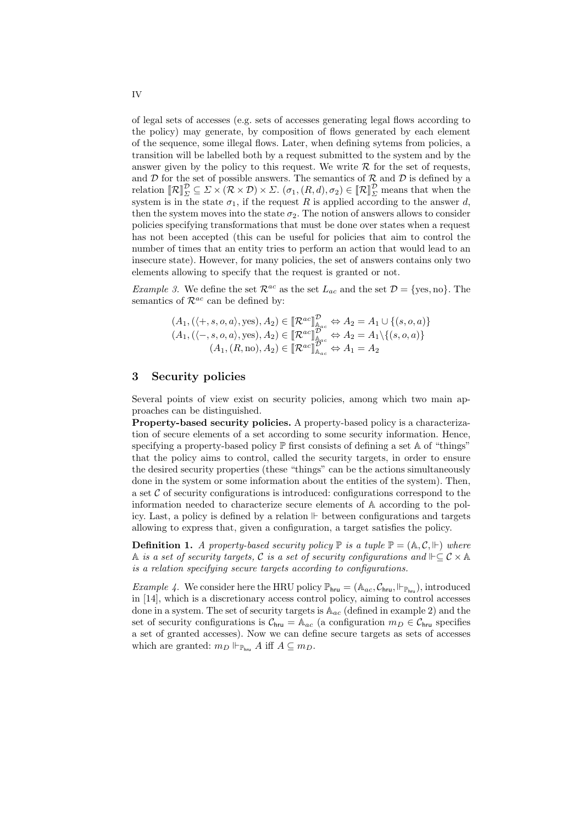of legal sets of accesses (e.g. sets of accesses generating legal flows according to the policy) may generate, by composition of flows generated by each element of the sequence, some illegal flows. Later, when defining sytems from policies, a transition will be labelled both by a request submitted to the system and by the answer given by the policy to this request. We write  $\mathcal R$  for the set of requests, and  $D$  for the set of possible answers. The semantics of  $R$  and  $D$  is defined by a relation  $[\![\mathcal{R}]\!]_{\Sigma}^{\mathcal{D}} \subseteq \Sigma \times (\mathcal{R} \times \mathcal{D}) \times \Sigma$ .  $(\sigma_1, (R, d), \sigma_2) \in [\![\mathcal{R}]\!]_{\Sigma}^{\mathcal{D}}$  means that when the system is in the state  $\sigma_1$ , if the request R is applied according to the answer d, then the system moves into the state  $\sigma_2$ . The notion of answers allows to consider policies specifying transformations that must be done over states when a request has not been accepted (this can be useful for policies that aim to control the number of times that an entity tries to perform an action that would lead to an insecure state). However, for many policies, the set of answers contains only two elements allowing to specify that the request is granted or not.

*Example 3.* We define the set  $\mathcal{R}^{ac}$  as the set  $L_{ac}$  and the set  $\mathcal{D} = \{\text{yes}, \text{no}\}\.$  The semantics of  $\mathcal{R}^{ac}$  can be defined by:

$$
(A_1, (\langle +, s, o, a \rangle, \text{yes}), A_2) \in [\mathcal{R}^{ac}]^{\mathcal{D}}_{\mathbb{A}_{ac}} \Leftrightarrow A_2 = A_1 \cup \{(s, o, a)\}
$$
  

$$
(A_1, (\langle -, s, o, a \rangle, \text{yes}), A_2) \in [\mathcal{R}^{ac}]^{\mathcal{D}}_{\mathbb{A}_{ac}} \Leftrightarrow A_2 = A_1 \setminus \{(s, o, a)\}
$$
  

$$
(A_1, (R, no), A_2) \in [\mathcal{R}^{ac}]^{\mathcal{D}^c}_{\mathbb{A}_{ac}} \Leftrightarrow A_1 = A_2
$$

#### 3 Security policies

Several points of view exist on security policies, among which two main approaches can be distinguished.

Property-based security policies. A property-based policy is a characterization of secure elements of a set according to some security information. Hence, specifying a property-based policy  $\mathbb P$  first consists of defining a set  $\mathbb A$  of "things" that the policy aims to control, called the security targets, in order to ensure the desired security properties (these "things" can be the actions simultaneously done in the system or some information about the entities of the system). Then, a set  $\mathcal C$  of security configurations is introduced: configurations correspond to the information needed to characterize secure elements of A according to the policy. Last, a policy is defined by a relation  $\mathbb F$  between configurations and targets allowing to express that, given a configuration, a target satisfies the policy.

**Definition 1.** A property-based security policy  $\mathbb{P}$  is a tuple  $\mathbb{P} = (\mathbb{A}, \mathcal{C}, \mathbb{H})$  where A *is a set of security targets,* C *is a set of security configurations and*  $\Vdash \subseteq C \times A$ *is a relation specifying secure targets according to configurations.*

*Example 4.* We consider here the HRU policy  $\mathbb{P}_{hru} = (\mathbb{A}_{ac}, \mathcal{C}_{hru}, \mathbb{H}_{\mathbb{P}_{hru}})$ , introduced in [14], which is a discretionary access control policy, aiming to control accesses done in a system. The set of security targets is  $\mathbb{A}_{ac}$  (defined in example 2) and the set of security configurations is  $\mathcal{C}_{\text{hru}} = \mathbb{A}_{ac}$  (a configuration  $m_D \in \mathcal{C}_{\text{hru}}$  specifies a set of granted accesses). Now we can define secure targets as sets of accesses which are granted:  $m_D \Vdash_{\mathbb{P}_{\text{hru}}} A$  iff  $A \subseteq m_D$ .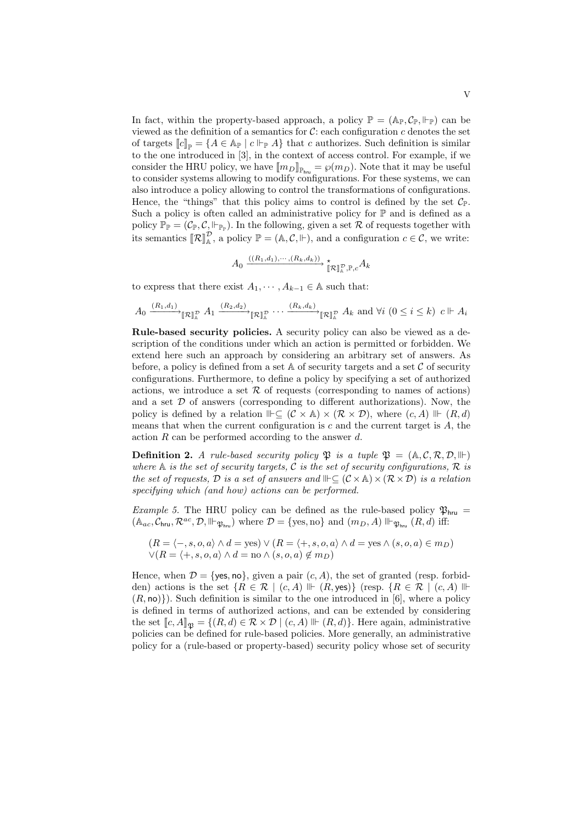In fact, within the property-based approach, a policy  $\mathbb{P} = (\mathbb{A}_{\mathbb{P}}, \mathcal{C}_{\mathbb{P}}, \Vdash_{\mathbb{P}})$  can be viewed as the definition of a semantics for  $\mathcal{C}$ : each configuration c denotes the set of targets  $[[c]]_{\mathbb{P}} = \{A \in \mathbb{A}_{\mathbb{P}} \mid c \Vdash_{\mathbb{P}} A\}$  that c authorizes. Such definition is similar to the one introduced in [3], in the context of access control. For example, if we consider the HRU policy, we have  $[\![m_D]\!]_{\mathbb{P}_{hru}} = \wp(m_D)$ . Note that it may be useful to consider systems allowing to modify configurations. For these systems, we can also introduce a policy allowing to control the transformations of configurations. Hence, the "things" that this policy aims to control is defined by the set  $\mathcal{C}_{\mathbb{P}}$ . Such a policy is often called an administrative policy for  $\mathbb P$  and is defined as a policy  $\mathbb{P}_{\mathbb{P}} = (\mathcal{C}_{\mathbb{P}}, \mathcal{C}, \Vdash_{\mathbb{P}_{\mathbb{P}}})$ . In the following, given a set R of requests together with its semantics  $[\![\mathcal{R}]\!]_{\mathbb{A}}^{\mathcal{D}},$  a policy  $\mathbb{P} = (\mathbb{A}, \mathcal{C}, \Vdash)$ , and a configuration  $c \in \mathcal{C}$ , we write:

$$
A_0 \xrightarrow{((R_1,d_1),\cdots,(R_k,d_k))} \star_{\llbracket \mathcal{R} \rrbracket^{\mathcal{D}}_A, \mathbb{P},c} A_k
$$

to express that there exist  $A_1, \dots, A_{k-1} \in A$  such that:

$$
A_0 \xrightarrow{(R_1,d_1)} \mathbb{R} \mathbb{R}^p \xrightarrow{A_1} \xrightarrow{(R_2,d_2)} \mathbb{R} \mathbb{R}^p \cdots \xrightarrow{(R_k,d_k)} \mathbb{R} \mathbb{R}^p \xrightarrow{A_k} \text{and } \forall i \ (0 \le i \le k) \ c \Vdash A_i
$$

Rule-based security policies. A security policy can also be viewed as a description of the conditions under which an action is permitted or forbidden. We extend here such an approach by considering an arbitrary set of answers. As before, a policy is defined from a set  $A$  of security targets and a set  $C$  of security configurations. Furthermore, to define a policy by specifying a set of authorized actions, we introduce a set  $R$  of requests (corresponding to names of actions) and a set  $D$  of answers (corresponding to different authorizations). Now, the policy is defined by a relation  $\mathbb{I} \subset (\mathcal{C} \times \mathbb{A}) \times (\mathcal{R} \times \mathcal{D})$ , where  $(c, A) \mathbb{I} \in (R, d)$ means that when the current configuration is c and the current target is  $A$ , the action R can be performed according to the answer d.

**Definition 2.** *A rule-based security policy*  $\mathfrak{P}$  *is a tuple*  $\mathfrak{P} = (\mathbb{A}, \mathcal{C}, \mathcal{R}, \mathcal{D}, \mathbb{H})$ where  $A$  *is the set of security targets,*  $C$  *is the set of security configurations,*  $R$  *is the set of requests,*  $D$  *is a set of answers and*  $\mathbb{I}\left[\mathcal{C}\times\mathbb{A}\right]\times(\mathcal{R}\times\mathcal{D})$  *is a relation specifying which (and how) actions can be performed.*

*Example 5.* The HRU policy can be defined as the rule-based policy  $\mathfrak{P}_{\text{hru}} =$  $(A_{ac}, C_{\text{hru}}, \mathcal{R}^{ac}, \mathcal{D}, \mathbb{H}_{\mathfrak{P}_{\text{hru}}})$  where  $\mathcal{D} = \{\text{yes, no}\}\$  and  $(m_D, A) \mathbb{H}_{\mathfrak{P}_{\text{hru}}}(R, d)$  iff:

$$
(R = \langle -, s, o, a \rangle \land d = \text{yes}) \lor (R = \langle +, s, o, a \rangle \land d = \text{yes} \land (s, o, a) \in m_D)
$$
  

$$
\lor (R = \langle +, s, o, a \rangle \land d = \text{no} \land (s, o, a) \notin m_D)
$$

Hence, when  $\mathcal{D} = \{\text{yes}, \text{no}\},\$  given a pair  $(c, A)$ , the set of granted (resp. forbidden) actions is the set  $\{R \in \mathcal{R} \mid (c, A) \Vdash (R, \text{yes})\}$  (resp.  $\{R \in \mathcal{R} \mid (c, A) \Vdash$  $(R, \text{no})\})$ . Such definition is similar to the one introduced in [6], where a policy is defined in terms of authorized actions, and can be extended by considering the set  $\llbracket c, A \rrbracket_{\mathfrak{R}} = \{(R, d) \in \mathcal{R} \times \mathcal{D} \mid (c, A) \Vdash (R, d)\}.$  Here again, administrative policies can be defined for rule-based policies. More generally, an administrative policy for a (rule-based or property-based) security policy whose set of security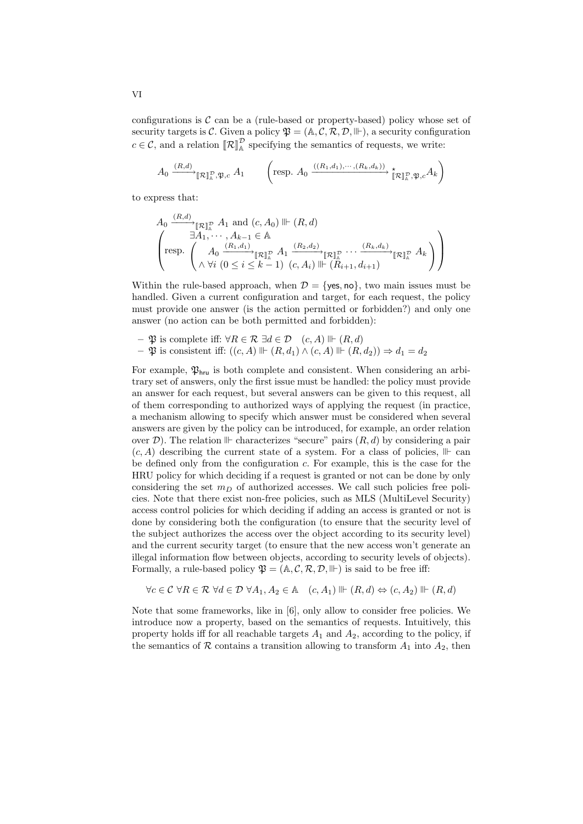configurations is  $\mathcal C$  can be a (rule-based or property-based) policy whose set of security targets is C. Given a policy  $\mathfrak{P} = (\mathbb{A}, \mathcal{C}, \mathcal{R}, \mathcal{D}, \mathbb{H})$ , a security configuration  $c \in \mathcal{C}$ , and a relation  $[\![\mathcal{R}]\!]_A^{\mathcal{D}}$  specifying the semantics of requests, we write:

$$
A_0 \xrightarrow{(R,d)} \mathbb{R}^n \mathbb{R}, \mathfrak{P}, c \, A_1 \qquad \left( \text{resp. } A_0 \xrightarrow{((R_1,d_1), \cdots, (R_k,d_k))} \mathbb{K}^n \mathbb{R}^n \mathfrak{P}, \mathfrak{P}, c \, A_k \right)
$$

to express that:

$$
A_0 \xrightarrow{(R,d)} \mathbb{R} \mathbb{R}^{\mathbb{R}} A_1 \text{ and } (c, A_0) \Vdash (R, d)
$$
  

$$
\left( \text{resp.} \begin{pmatrix} \exists A_1, \cdots, A_{k-1} \in \mathbb{A} \\ A_0 \xrightarrow{(R_1, d_1)} \mathbb{R}^{\mathbb{R}} A_1 \xrightarrow{(R_2, d_2)} \mathbb{R}^{\mathbb{R}} \cdots \xrightarrow{(R_k, d_k)} \mathbb{R}^{\mathbb{R}} A_k \\ \wedge \forall i \ (0 \le i \le k-1) \ (c, A_i) \Vdash (R_{i+1}, d_{i+1}) \end{pmatrix} \right)
$$

Within the rule-based approach, when  $\mathcal{D} = \{ \text{ves, no} \}$ , two main issues must be handled. Given a current configuration and target, for each request, the policy must provide one answer (is the action permitted or forbidden?) and only one answer (no action can be both permitted and forbidden):

- $\mathfrak{P}$  is complete iff:  $\forall R \in \mathcal{R} \ \exists d \in \mathcal{D} \quad (c, A) \Vdash (R, d)$
- $\mathfrak P$  is consistent iff:  $((c, A) \Vdash (R, d_1) \wedge (c, A) \Vdash (R, d_2)) \Rightarrow d_1 = d_2$

For example,  $\mathfrak{P}_{\text{hru}}$  is both complete and consistent. When considering an arbitrary set of answers, only the first issue must be handled: the policy must provide an answer for each request, but several answers can be given to this request, all of them corresponding to authorized ways of applying the request (in practice, a mechanism allowing to specify which answer must be considered when several answers are given by the policy can be introduced, for example, an order relation over  $\mathcal{D}$ ). The relation  $\mathbb{I}$  characterizes "secure" pairs  $(R, d)$  by considering a pair  $(c, A)$  describing the current state of a system. For a class of policies,  $\mathbb{I} \vdash$  can be defined only from the configuration c. For example, this is the case for the HRU policy for which deciding if a request is granted or not can be done by only considering the set  $m<sub>D</sub>$  of authorized accesses. We call such policies free policies. Note that there exist non-free policies, such as MLS (MultiLevel Security) access control policies for which deciding if adding an access is granted or not is done by considering both the configuration (to ensure that the security level of the subject authorizes the access over the object according to its security level) and the current security target (to ensure that the new access won't generate an illegal information flow between objects, according to security levels of objects). Formally, a rule-based policy  $\mathfrak{P} = (\mathbb{A}, \mathcal{C}, \mathcal{R}, \mathcal{D}, \mathbb{H})$  is said to be free iff:

$$
\forall c \in \mathcal{C} \ \forall R \in \mathcal{R} \ \forall d \in \mathcal{D} \ \forall A_1, A_2 \in \mathbb{A} \quad (c, A_1) \ \mathbb{I} \vdash (R, d) \Leftrightarrow (c, A_2) \ \mathbb{I} \vdash (R, d)
$$

Note that some frameworks, like in [6], only allow to consider free policies. We introduce now a property, based on the semantics of requests. Intuitively, this property holds iff for all reachable targets  $A_1$  and  $A_2$ , according to the policy, if the semantics of R contains a transition allowing to transform  $A_1$  into  $A_2$ , then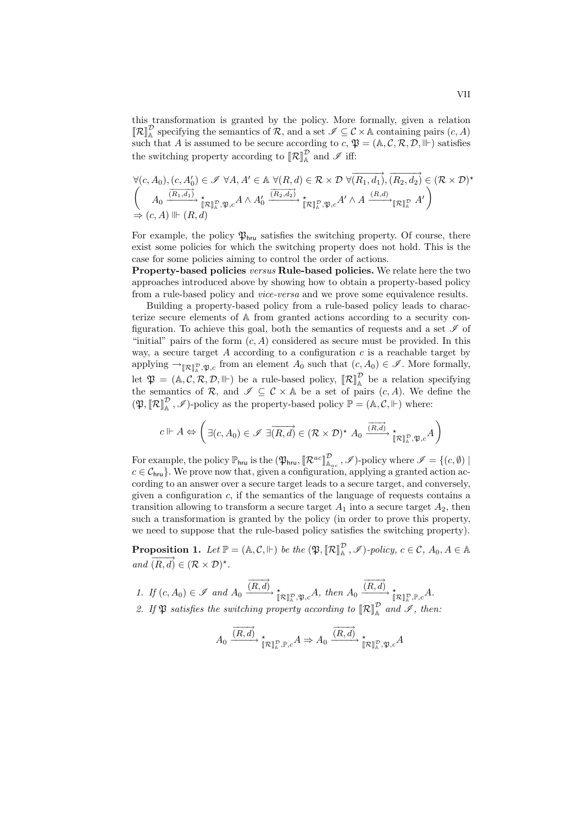this transformation is granted by the policy. More formally, given a relation  $\llbracket \mathcal{R} \rrbracket_{\mathbb{A}}^{\mathcal{D}}$  specifying the semantics of  $\mathcal{R}$ , and a set  $\mathcal{I} \subseteq \mathcal{C} \times \mathbb{A}$  containing pairs  $(c, A)$ such that A is assumed to be secure according to  $c, \mathfrak{P} = (\mathbb{A}, \mathcal{C}, \mathcal{R}, \mathcal{D}, \mathbb{H})$  satisfies the switching property according to  $\llbracket \mathcal{R} \rrbracket_{\mathbb{A}}^{\mathcal{D}}$  and  $\mathcal{I}$  iff:

$$
\forall (c, A_0), (c, A'_0) \in \mathscr{I} \ \forall A, A' \in \mathbb{A} \ \forall (R, d) \in \mathcal{R} \times \mathcal{D} \ \forall \overrightarrow{(R_1, d_1)}, \overrightarrow{(R_2, d_2)} \in (\mathcal{R} \times \mathcal{D})^{\star}
$$
\n
$$
\left(\begin{array}{c} A_0 \xrightarrow{\overrightarrow{(R_1, d_1)}} \star \\ A_0 \xrightarrow{\overrightarrow{(R_1, d_1)}} \star \\ \Rightarrow (c, A) \Vdash (R, d) \end{array} \star A \land A'_0 \xrightarrow{\overrightarrow{(R_2, d_2)}} \star \star \mathbb{I} \mathbb{R} \mathbb{I}^{\mathcal{D}}_{\mathbb{A}}, \mathfrak{P}, c^{A'} \land A \xrightarrow{(R, d)} \mathbb{I} \mathbb{R} \mathbb{I}^{\mathcal{D}}_{\mathbb{A}} \ A' \right)
$$

For example, the policy  $\mathfrak{P}_{\text{hru}}$  satisfies the switching property. Of course, there exist some policies for which the switching property does not hold. This is the case for some policies aiming to control the order of actions.

Property-based policies *versus* Rule-based policies. We relate here the two approaches introduced above by showing how to obtain a property-based policy from a rule-based policy and *vice-versa* and we prove some equivalence results.

Building a property-based policy from a rule-based policy leads to characterize secure elements of A from granted actions according to a security configuration. To achieve this goal, both the semantics of requests and a set  $\mathscr I$  of "initial" pairs of the form  $(c, A)$  considered as secure must be provided. In this way, a secure target A according to a configuration  $c$  is a reachable target by applying  $\rightarrow_{\llbracket \mathcal{R} \rrbracket^{\mathcal{D}}, \mathfrak{P},c}$  from an element  $A_0$  such that  $(c, A_0) \in \mathscr{I}$ . More formally, let  $\mathfrak{P} = (\mathbb{A}, \mathcal{C}, \mathcal{R}, \mathcal{D}, \Vdash)$  be a rule-based policy,  $\llbracket \mathcal{R} \rrbracket^{\mathcal{D}}$  be a relation specifying the semantics of R, and  $\mathscr{I} \subseteq \mathcal{C} \times \mathbb{A}$  be a set of pairs  $(c, A)$ . We define the  $(\mathfrak{P}, [\![\mathcal{R}]\!]_\mathbb{A}^\mathcal{D}, \mathscr{I})$ -policy as the property-based policy  $\mathbb{P} = (\mathbb{A}, \mathcal{C}, \Vdash)$  where:

$$
c \Vdash A \Leftrightarrow \left( \exists (c, A_0) \in \mathscr{I} \; \exists \overrightarrow{(R, d)} \in (\mathcal{R} \times \mathcal{D})^{\star} \; A_0 \xrightarrow{\overrightarrow{(R, d)}} \underset{\llbracket \mathcal{R} \rrbracket^{\mathcal{D}}_k, \mathfrak{P}, c}{\star} A \right)
$$

For example, the policy  $\mathbb{P}_{\text{hru}}$  is the  $(\mathfrak{P}_{\text{hru}}, [\mathcal{R}^{ac}]_{\mathbb{A}_{ac}}^{\mathcal{D}}, \mathscr{I})$ -policy where  $\mathscr{I} = \{(c, \emptyset) \mid \mathcal{A}_{ac} \}$  $c \in \mathcal{C}_{\mathsf{hru}}$ . We prove now that, given a configuration, applying a granted action according to an answer over a secure target leads to a secure target, and conversely, given a configuration  $c$ , if the semantics of the language of requests contains a transition allowing to transform a secure target  $A_1$  into a secure target  $A_2$ , then such a transformation is granted by the policy (in order to prove this property, we need to suppose that the rule-based policy satisfies the switching property).

**Proposition 1.** Let  $\mathbb{P} = (\mathbb{A}, \mathcal{C}, \Vdash)$  be the  $(\mathfrak{P}, [\mathbb{R}]\mathbb{R}^{\mathbb{P}}, \mathcal{I})$ -policy,  $c \in \mathcal{C}, A_0, A \in \mathbb{A}$  $and \overrightarrow{(R,d)} \in (\mathcal{R} \times \mathcal{D})^*$ .

1. If 
$$
(c, A_0) \in \mathcal{I}
$$
 and  $A_0 \xrightarrow{\overline{(R, d)}} \underset{\llbracket \mathcal{R} \rrbracket^{\mathcal{D}}_k, \mathfrak{P}, c}{\longrightarrow} A$ , then  $A_0 \xrightarrow{\overline{(R, d)}} \underset{\llbracket \mathcal{R} \rrbracket^{\mathcal{D}}_k, \mathbb{P}, c}{\longrightarrow} A$ .  
2. If  $\mathfrak{P}$  satisfies the switching property according to  $\llbracket \mathcal{R} \rrbracket^{\mathcal{D}}_A$  and  $\mathcal{I}$ , then:

$$
A_0 \xrightarrow{\overrightarrow{(R,d)}} \mathop{\star}\limits^{\star}_{[\hskip-1.5pt[\hskip-1.5pt][\hskip-1.5pt][\hskip-1.5pt][\hskip-1.5pt][\hskip-1.5pt][\hskip-1.5pt][\hskip-1.5pt][\hskip-1.5pt][\hskip-1.5pt][\hskip-1.5pt][\hskip-1.5pt][\hskip-1.5pt][\hskip-1.5pt][\hskip-1.5pt][\hskip-1.5pt][\hskip-1.5pt][\hskip-1.5pt][\hskip-1.5pt][\hskip-1.5pt][\hskip-1.5pt][\hskip-1.5pt][\hskip-1.5pt][\hskip-1.5pt][\hskip-1.5pt][\hskip-1.5pt][\hskip-1.5pt][\hskip-1.5pt][\hskip-1.5pt][\hskip-1.5pt][\hskip-1.5pt][\hskip-1.5pt][\hskip-1.5pt][\hskip-1.5pt][\hskip-1.5pt][\hskip-1.5pt][\hskip-1.5pt][\hskip-1.5pt][\hskip-1.5pt][\hskip-1.5pt][\hskip-1.5pt][\hskip-1.5pt][\hskip-1.5pt][\hskip-1.5pt][\hskip-1.5pt][\hskip-1.5pt][\hskip-1.5pt][\hskip-1.5pt][\hskip-1.5pt][\hskip-1.5pt][\hskip-1.5pt][\hskip-1.5pt][\hskip-1.5pt][\hskip-1.5pt][\hskip-1.5pt][\hskip-1.5pt][\hskip-1.5pt][\hskip-1.5pt][\hskip-1.5pt][\hskip-1.5pt][\hskip-1.5pt][\hskip-1.5pt][\hskip-1.5pt][\hskip-1.5pt][\hskip-1.5pt][\hskip-1.5pt][\hskip-1.5pt][\hskip-1.5pt][\hskip-1.5pt][\hskip-1.5pt][\hskip-1.5pt][\hskip-1.5pt][\hskip-1.5pt][\hskip-1.5pt][\hskip-1.5pt][\hskip-1.5pt][\hskip-1.5pt][\hskip-1.5pt][\hskip-1.5pt][\hskip-1.5pt][\hskip-1.5pt][\hskip-1.5
$$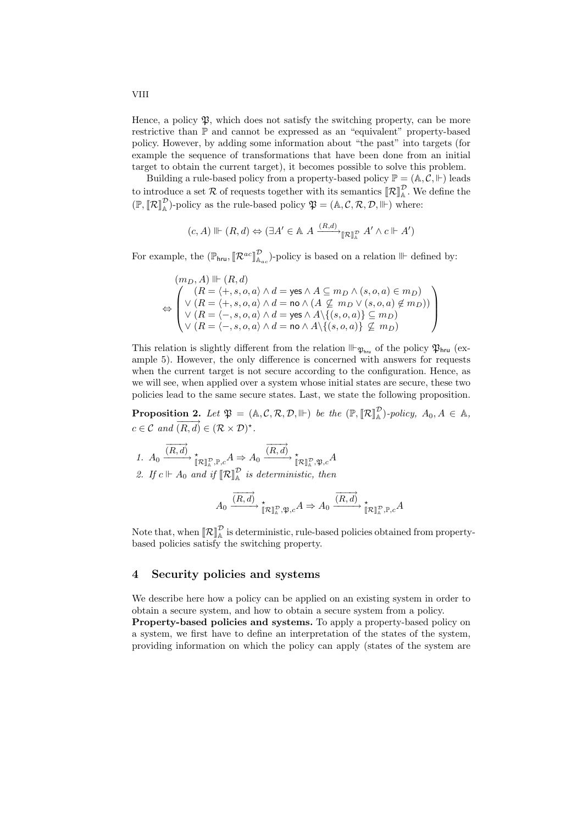Hence, a policy  $\mathfrak{P}$ , which does not satisfy the switching property, can be more restrictive than P and cannot be expressed as an "equivalent" property-based policy. However, by adding some information about "the past" into targets (for example the sequence of transformations that have been done from an initial target to obtain the current target), it becomes possible to solve this problem.

Building a rule-based policy from a property-based policy  $\mathbb{P} = (\mathbb{A}, \mathcal{C}, \Vdash)$  leads to introduce a set R of requests together with its semantics  $\llbracket \mathcal{R} \rrbracket_{\mathbb{A}}^{\mathcal{D}}$ . We define the  $(\mathbb{P}, [\![\mathcal{R}]\!]_{\mathbb{A}}^{\mathcal{D}})$ -policy as the rule-based policy  $\mathfrak{P} = (\mathbb{A}, \mathcal{C}, \mathcal{R}, \mathcal{D}, \mathbb{H})$  where:

$$
(c, A) \Vdash (R, d) \Leftrightarrow (\exists A' \in \mathbb{A} \ A \xrightarrow{(R, d)} \mathbb{R} \mathbb{R} \mathbb{R} \ A' \land c \Vdash A')
$$

For example, the  $(\mathbb{P}_{\text{hru}}, [\mathcal{R}^{ac}]^{\mathcal{D}}_{\mathbb{A}_{ac}})$ -policy is based on a relation  $\mathbb{I}\vdash$  defined by:

$$
(m_D,A)\Vdash(R,d)\\ \Leftrightarrow \begin{pmatrix} (R=\langle +,s,o,a\rangle \wedge d=\mathrm{yes} \wedge A\subseteq m_D \wedge (s,o,a)\in m_D)\\ \vee\ (R=\langle +,s,o,a\rangle \wedge d=\mathrm{no} \wedge (A\not\subseteq m_D \vee (s,o,a)\not\in m_D))\\ \vee\ (R=\langle -,s,o,a\rangle \wedge d=\mathrm{yes} \wedge A\backslash\{(s,o,a)\}\subseteq m_D)\\ \vee\ (R=\langle -,s,o,a\rangle \wedge d=\mathrm{no} \wedge A\backslash\{(s,o,a)\}\not\subseteq m_D)\end{pmatrix}
$$

This relation is slightly different from the relation  $\mathbb{P}_{\mathfrak{P}_{\mathsf{hru}}}$  of the policy  $\mathfrak{P}_{\mathsf{hru}}$  (example 5). However, the only difference is concerned with answers for requests when the current target is not secure according to the configuration. Hence, as we will see, when applied over a system whose initial states are secure, these two policies lead to the same secure states. Last, we state the following proposition.

**Proposition 2.** Let  $\mathfrak{P} = (\mathbb{A}, \mathcal{C}, \mathcal{R}, \mathcal{D}, \mathbb{H})$  be the  $(\mathbb{P}, [\![\mathcal{R}]\!]_A^{\mathcal{D}})$ -policy,  $A_0, A \in \mathbb{A}$ ,  $c \in \mathcal{C}$  and  $\overrightarrow{(R,d)} \in (\mathcal{R} \times \mathcal{D})^{\star}$ .

1. 
$$
A_0 \xrightarrow{\overrightarrow{(R,d)}} \underset{\mathbb{R}}{\star} \underset{\mathbb{R}^n, \mathbb{P}, c}{\star} A \Rightarrow A_0 \xrightarrow{\overrightarrow{(R,d)}} \underset{\mathbb{R}^n, \mathbb{R}, c}{\star} A
$$
  
\n2. If  $c \Vdash A_0$  and if  $[\mathbb{R}^n]_A^{\mathbb{R}}$  is deterministic, then

$$
A_0\xrightarrow{\overrightarrow{(R,d)}}{\underset{\llbracket{\mathcal R}\rrbracket^{\mathcal D}_\mathbb{A}, \mathfrak P, c}{\longrightarrow}}A\Rightarrow A_0\xrightarrow{\overrightarrow{(R,d)}}{\underset{\llbracket{\mathcal R}\rrbracket^{\mathcal D}_\mathbb{A}, \mathbb{P}, c}{\longrightarrow}}A
$$

Note that, when  $\llbracket \mathcal{R} \rrbracket_{\mathbb{A}}^{\mathcal{D}}$  is deterministic, rule-based policies obtained from propertybased policies satisfy the switching property.

### 4 Security policies and systems

We describe here how a policy can be applied on an existing system in order to obtain a secure system, and how to obtain a secure system from a policy. Property-based policies and systems. To apply a property-based policy on a system, we first have to define an interpretation of the states of the system, providing information on which the policy can apply (states of the system are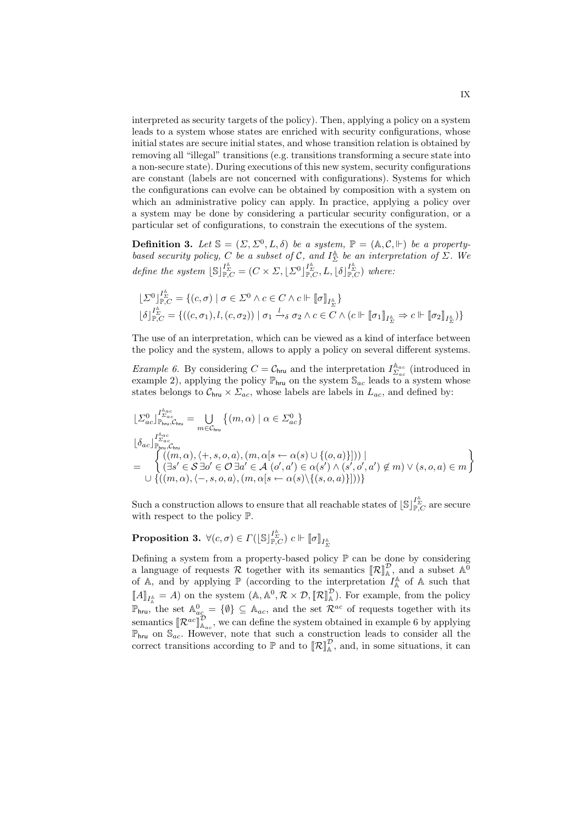interpreted as security targets of the policy). Then, applying a policy on a system leads to a system whose states are enriched with security configurations, whose initial states are secure initial states, and whose transition relation is obtained by removing all "illegal" transitions (e.g. transitions transforming a secure state into a non-secure state). During executions of this new system, security configurations are constant (labels are not concerned with configurations). Systems for which the configurations can evolve can be obtained by composition with a system on which an administrative policy can apply. In practice, applying a policy over a system may be done by considering a particular security configuration, or a particular set of configurations, to constrain the executions of the system.

**Definition 3.** Let  $\mathbb{S} = (\Sigma, \Sigma^0, L, \delta)$  be a system,  $\mathbb{P} = (\mathbb{A}, \mathcal{C}, \Vdash)$  be a property*based security policy,* C *be a subset of* C, and  $I_{\Sigma}^{A}$  *be an interpretation of*  $\Sigma$ . We *define the system*  $[\mathbb{S}]_{\mathbb{P},C}^{\mathbb{I}_{\Sigma}^{\mathbb{A}}} = (C \times \Sigma, [\Sigma^0]_{\mathbb{P},C}^{\mathbb{I}_{\Sigma}^{\mathbb{A}}}, L, [\delta]_{\mathbb{P},C}^{\mathbb{I}_{\Sigma}^{\mathbb{A}}}$ *where:* 

$$
\begin{array}{l} \lfloor \varSigma^{0}\rfloor^{\varGamma^{\mathbb{A}}}_{\mathbb{P},C}=\{(c,\sigma)\mid \sigma\in\varSigma^{0}\wedge c\in C\wedge c\Vdash \llbracket\sigma\rrbracket_{I^{\mathbb{A}}_{\varSigma}}\} \\ \lfloor \delta\rfloor^{\varGamma^{\mathbb{A}}}_{\mathbb{P},C}=\{((c,\sigma_{1}),l,(c,\sigma_{2}))\mid \sigma_{1}\xrightarrow{l}\delta\text{ }\sigma_{2}\wedge c\in C\wedge (c\Vdash \llbracket\sigma_{1}\rrbracket_{I^{\mathbb{A}}_{\varSigma}}\Rightarrow c\Vdash \llbracket\sigma_{2}\rrbracket_{I^{\mathbb{A}}_{\varSigma}})\}\end{array}
$$

The use of an interpretation, which can be viewed as a kind of interface between the policy and the system, allows to apply a policy on several different systems.

*Example 6.* By considering  $C = C_{\text{hru}}$  and the interpretation  $I_{\Sigma_{ac}}^{\mathbb{A}_{ac}}$  (introduced in example 2), applying the policy  $\mathbb{P}_{hru}$  on the system  $\mathbb{S}_{ac}$  leads to a system whose states belongs to  $\mathcal{C}_{\text{bru}} \times \Sigma_{ac}$ , whose labels are labels in  $L_{ac}$ , and defined by:

$$
\begin{array}{l} \lfloor \varSigma_{ac}^{0}\rfloor_{\mathbb{P}_{\text{Inv}},\mathcal{C}_{\text{Inv}}}^{I^{\mathbb{A}_{\text{ac}}}_{\text{Der}}}= \bigcup_{m\in\mathcal{C}_{\text{Inv}}} \left\{(m,\alpha)\mid \alpha\in\Sigma_{ac}^{0}\right\} \\ \lfloor \delta_{ac}\rfloor_{\mathbb{P}_{\text{Inv}},\mathcal{C}_{\text{Inv}}}^{\mathbb{I}^{\mathbb{A}_{\text{ac}}}_{\text{Der}}}\lbrack(\overline{m},\alpha),\langle +,s,o,a\rangle,(m,\alpha[s\leftarrow \alpha(s)\cup\{(o,a)\}]))\mid \\ \left(\exists s'\in\mathcal{S}\;\exists o'\in\mathcal{O}\;\exists a'\in\mathcal{A}\;(o',a')\in\alpha(s')\land (s',o',a')\not\in m)\lor (s,o,a)\in m\right\} \\ \cup\;\left\{\left((m,\alpha),\langle -,s,o,a\rangle,(m,\alpha[s\leftarrow \alpha(s)\backslash\{(s,o,a)\}])\right)\right\}\end{array}
$$

Such a construction allows to ensure that all reachable states of  $\lfloor \mathbb{S} \rfloor_{\mathbb{P},C}^{I_{\Sigma}^4}$  are secure with respect to the policy P.

 $\textbf{Proposition 3.}~~\forall (c,\sigma)\in \varGamma(\lfloor \mathbb{S}\rfloor_{\mathbb{P},C}^{I_{\Sigma}^{\mathbb{A}}})\;c \Vdash \llbracket \sigma \rrbracket_{I_{\Sigma}^{\mathbb{A}}}$ 

Defining a system from a property-based policy  $\mathbb P$  can be done by considering a language of requests R together with its semantics  $\llbracket \mathcal{R} \rrbracket_{\mathbb{A}}^{\mathcal{D}}$ , and a subset  $\mathbb{A}^{\vec{0}}$ of A, and by applying  $\mathbb{P}$  (according to the interpretation  $I_A^{\mathbb{A}}$  of A such that  $\llbracket A \rrbracket_{I_A^{\mathbb{A}}} = A$  on the system  $(\mathbb{A}, \mathbb{A}^0, \mathcal{R} \times \mathcal{D}, \llbracket \mathcal{R} \rrbracket_A^{\mathcal{D}})$ . For example, from the policy  $\mathbb{P}_{\text{hru}}$ , the set  $\mathbb{A}^0_{ac} = \{\emptyset\} \subseteq \mathbb{A}_{ac}$ , and the set  $\mathcal{R}^{ac}$  of requests together with its semantics  $\mathbb{R}^{ac} \mathbb{I}_{A_{ac}}^{\mathcal{D}}$ , we can define the system obtained in example 6 by applying  $\mathbb{P}_{\text{hru}}$  on  $\mathbb{S}_{ac}$ . However, note that such a construction leads to consider all the correct transitions according to  $\mathbb{P}$  and to  $\llbracket \mathcal{R} \rrbracket_{\mathbb{A}}^{\mathcal{D}}$ , and, in some situations, it can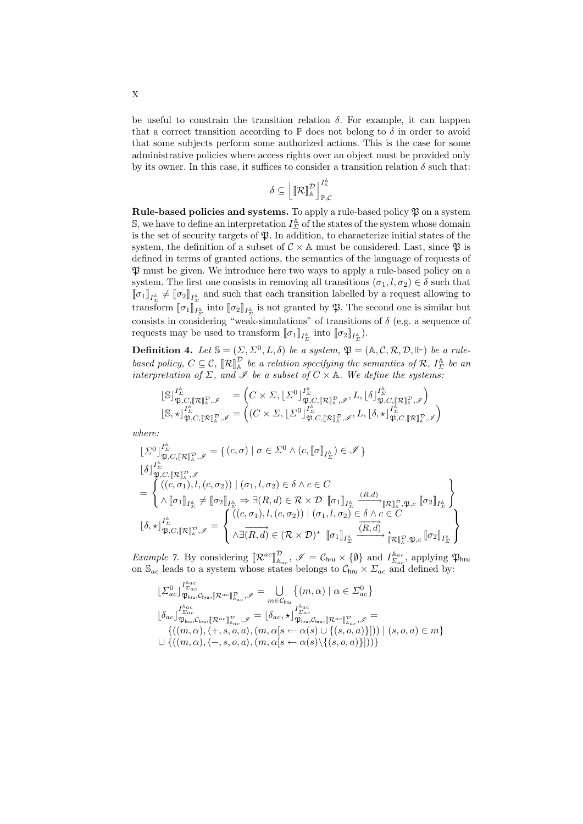be useful to constrain the transition relation  $\delta$ . For example, it can happen that a correct transition according to  $\mathbb P$  does not belong to  $\delta$  in order to avoid that some subjects perform some authorized actions. This is the case for some administrative policies where access rights over an object must be provided only by its owner. In this case, it suffices to consider a transition relation  $\delta$  such that:

$$
\delta \subseteq \left[\!\!\left[ \left[ \mathcal{R} \right]\!\right]_{{\mathbb{A}}}^{\mathcal{D}} \right]_{\mathbb{P},\mathcal{C}}^{I_{{\mathbb{A}}}^{{\mathbb{A}}}}
$$

**Rule-based policies and systems.** To apply a rule-based policy  $\mathfrak{P}$  on a system S, we have to define an interpretation  $I_{\Sigma}^{A}$  of the states of the system whose domain is the set of security targets of  $\mathfrak{P}$ . In addition, to characterize initial states of the system, the definition of a subset of  $C \times A$  must be considered. Last, since  $\mathfrak{P}$  is defined in terms of granted actions, the semantics of the language of requests of P must be given. We introduce here two ways to apply a rule-based policy on a system. The first one consists in removing all transitions  $(\sigma_1, l, \sigma_2) \in \delta$  such that  $[\![\sigma_1]\!]_{I^{\mathbb{A}}_{\Sigma}} \neq [\![\sigma_2]\!]_{I^{\mathbb{A}}_{\Sigma}}$  and such that each transition labelled by a request allowing to transform  $[\![\sigma_1]\!]_{I^{\mathbb{A}}_{\Sigma}}$  into  $[\![\sigma_2]\!]_{I^{\mathbb{A}}_{\Sigma}}$  is not granted by  $\mathfrak{P}$ . The second one is similar but consists in considering "weak-simulations" of transitions of  $\delta$  (e.g. a sequence of requests may be used to transform  $[\![\sigma_1]\!]_{I_{\Sigma}^{\mathbb{A}}}$  into  $[\![\sigma_2]\!]_{I_{\Sigma}^{\mathbb{A}}}.$ 

**Definition 4.** Let  $\mathbb{S} = (\Sigma, \Sigma^0, L, \delta)$  be a system,  $\mathfrak{P} = (\mathbb{A}, \mathcal{C}, \mathcal{R}, \mathcal{D}, \mathbb{H})$  be a rule*based policy,*  $C \subseteq C$ ,  $[\mathcal{R}]_{\mathbb{A}}^{\mathcal{D}}$  *be a relation specifying the semantics of*  $\mathcal{R}$ *,*  $I_{\Sigma}^{\mathbb{A}}$  *be an interpretation of*  $\Sigma$ , and  $\mathscr{I}$  be a subset of  $C \times A$ . We define the systems:

$$
\begin{array}{ll}\label{eq:expansion} [\mathbb{S}]^{I^{\mathbb{A}}_{\Sigma}}_{\mathfrak{P},C,[\![\mathcal{R}]\!]^{\mathbb{R}}_{\mathbb{A}},\mathscr{I}}&=\Big(C\times \varSigma, [\varSigma^0]^{I^{\mathbb{A}}_{\Sigma}}_{\mathfrak{P},C,[\![\mathcal{R}]\!]^{\mathbb{R}}_{\mathbb{A}},\mathscr{I}},L, [\delta]^{I^{\mathbb{A}}_{\Sigma}}_{\mathfrak{P},C,[\![\mathcal{R}]\!]^{\mathbb{R}}_{\mathbb{A}},\mathscr{I}}\Big)\\ [\mathbb{S},\star]^{I^{\mathbb{A}}_{\Sigma}}_{\mathfrak{P},C,[\![\mathcal{R}]\!]^{\mathbb{R}}_{\mathbb{A}},\mathscr{I}}&=\Big((C\times \varSigma, [\varSigma^0]^{I^{\mathbb{A}}_{\Sigma}}_{\mathfrak{P},C,[\![\mathcal{R}]\!]^{\mathbb{R}}_{\mathbb{A}},\mathscr{I}},L, [\delta,\star]^{I^{\mathbb{A}}_{\mathfrak{P},C,[\![\mathcal{R}]\!]^{\mathbb{R}}_{\mathbb{A}},\mathscr{I}}\Big)\\ \end{array}
$$

*where:*

$$
\begin{split} &\lfloor\Sigma^{0}\rfloor^{I_{\Sigma}^{\mathbb{A}}} _{\mathfrak{P},C,\llbracket\mathcal{R}\rrbracket^{\mathbb{R}}_{\mathbb{A}},\mathscr{I}}^{\mathbb{A}}=\left\{(c,\sigma)\mid\sigma\in\Sigma^{0}\land(c,\llbracket\sigma\rrbracket_{I_{\Sigma}^{\mathbb{A}}})\in\mathscr{I}\right\} \\ &\stackrel{[{\delta}]}{\approx}\left\{\begin{matrix} \mathbf{0}^{I_{\Sigma}^{\mathbb{A}}},\mathscr{I} \\ ((c,\sigma_{1}),l,(c,\sigma_{2}))\mid(\sigma_{1},l,\sigma_{2})\in\delta\land c\in C \\[1mm] \land\llbracket\sigma_{1}\rrbracket_{I_{\Sigma}^{\mathbb{A}}}\neq\llbracket\sigma_{2}\rrbracket_{I_{\Sigma}^{\mathbb{A}}}\Rightarrow\exists(R,d)\in\mathcal{R}\times\mathcal{D}\parallel\!\sigma_{1}\rrbracket_{I_{\Sigma}^{\mathbb{A}}}\frac{(R,d)}{\mathbb{A}}\mathbb{R}_{\mathbb{A}}^{\mathbb{B}},\mathfrak{P},c\llbracket\sigma_{2}\rrbracket_{I_{\Sigma}^{\mathbb{A}}}\right\} \\ [0mm] &\stackrel{[{\delta}]}{\approx}\left\{\begin{matrix} ((c,\sigma_{1}),l,(c,\sigma_{2}))\mid(\sigma_{1},l,\sigma_{2})\in\delta\land c\in C \\[1mm] (\sigma_{1},l,\sigma_{2})\in\delta\land c\in C\end{matrix}\right\} \\ [\delta,\star]_{\mathfrak{P},C,\llbracket\mathcal{R}\rrbracket^{\mathbb{A}}_{\mathbb{A}},\mathscr{I}}^{\mathbb{A}}=\left\{\begin{matrix} ((c,\sigma_{1}),l,(c,\sigma_{2}))\mid(\sigma_{1},l,\sigma_{2})\in\delta\land c\in C \\[1mm] \land\exists(\overrightarrow{R},d)\in(\mathcal{R}\times\mathcal{D})^{\star}\parallel\!\sigma_{1}\rrbracket_{I_{\Sigma}^{\mathbb{A}}}\frac{(\overrightarrow{R},d)}{\mathbb{A}}\star_{\llbracket\!\mathcal{R}\rrbracket^{\mathbb{A}}_{\mathbb{A}},\mathfrak{P},c}\llbracket\sigma_{2}\rrbracket_{I_{\Sigma}^{\mathbb{A}}}\end{matrix}\right\} \end{split}
$$

*Example 7.* By considering  $[\mathcal{R}^{ac}]_{\mathbb{A}_{ac}}^{\mathcal{D}}, \mathscr{I} = \mathcal{C}_{\text{hru}} \times \{\emptyset\}$  and  $I_{\Sigma_{ac}}^{\mathbb{A}_{ac}},$  applying  $\mathfrak{P}_{\text{hru}}$ on  $\mathbb{S}_{ac}$  leads to a system whose states belongs to  $\mathcal{C}_{\text{hru}} \times \mathcal{Z}_{ac}$  and defined by:

$$
\begin{array}{l} \lfloor \varSigma_{ac}^{0}\rfloor_{\mathfrak{P}_{ac}}^{f_{2ac}^{kac}}\\ \lfloor \varSigma_{ac}^{0}\rfloor_{\mathfrak{P}_{bru},\mathcal{C}_{bru},[\![\mathcal{R}^{ac}]\!]_{\mathbb{A}_{ac}}^{D},\mathscr{I}}^{D}=\bigcup_{m\in\mathcal{C}_{bru}}\{(m,\alpha)\mid\alpha\in\Sigma_{ac}^{0}\}\\ \lfloor \delta_{ac}\rfloor_{\mathfrak{P}_{bru},\mathcal{C}_{bru},[\![\mathcal{R}^{ac}]\!]_{\mathbb{A}_{ac}}^{D},\mathscr{I}}^{D}=\lfloor \delta_{ac},\star\rfloor_{\mathfrak{P}_{bru},\mathcal{C}_{bru},[\![\mathcal{R}^{ac}]\!]_{\mathbb{A}_{ac}}^{D},\mathscr{I}}^{E}=\}\\ \lfloor \{(m,\alpha),\langle +,s,o,a\rangle,(m,\alpha[s\leftarrow\alpha(s)\cup\{(s,o,a)\}]) )\mid (s,o,a)\in m\}\\ \cup\left\{\left((m,\alpha),\langle -,s,o,a\rangle,(m,\alpha[s\leftarrow\alpha(s)\backslash\{(s,o,a)\}])\right)\right\}\end{array}
$$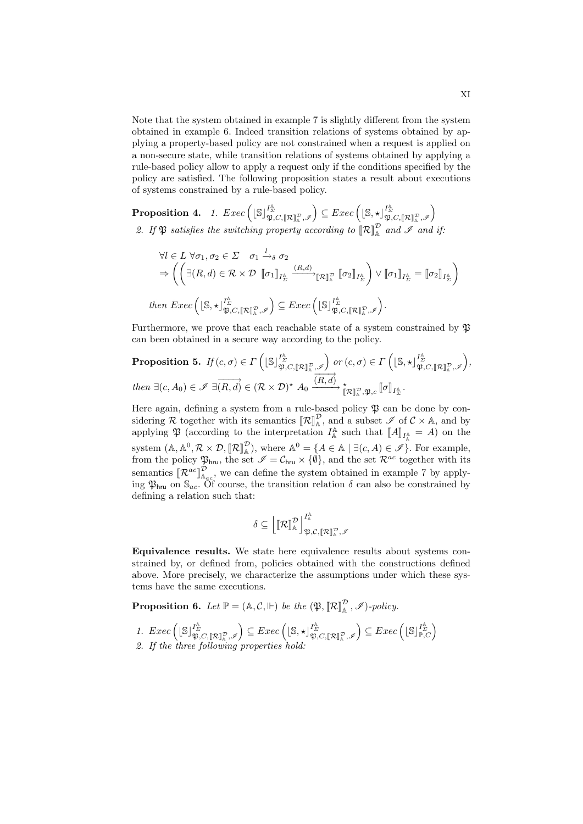Note that the system obtained in example 7 is slightly different from the system obtained in example 6. Indeed transition relations of systems obtained by applying a property-based policy are not constrained when a request is applied on a non-secure state, while transition relations of systems obtained by applying a rule-based policy allow to apply a request only if the conditions specified by the policy are satisfied. The following proposition states a result about executions of systems constrained by a rule-based policy.

 $\textbf{Proposition 4.} \quad \textit{1.} \; \; \textit{Exec}\left( [\mathbb{S}]_{\mathfrak{P},C,[\![\mathcal{R}]\!]^{\mathcal{P}}_{\mathbb{A}},\mathscr{I}}\right) \subseteq \textit{Exec}\left( [\mathbb{S},\star]_{\mathfrak{P},C,[\![\mathcal{R}]\!]^{\mathcal{P}}_{\mathbb{A}},\mathscr{I}}\right)$ 2. If  $\mathfrak{P}$  *satisfies the switching property according to*  $[\mathcal{R}]_A^{\mathcal{P}}$  *and*  $\mathcal{I}$  *and if:* 

$$
\forall l \in L \ \forall \sigma_1, \sigma_2 \in \Sigma \quad \sigma_1 \xrightarrow{l} \delta \sigma_2
$$
  
\n
$$
\Rightarrow \left( \left( \exists (R, d) \in \mathcal{R} \times \mathcal{D} \ [\![\sigma_1]\!]_{I_{\Sigma}^{\mathbb{A}}} \xrightarrow{(R, d)} [\![\mathcal{R}]\!]_{\mathbb{A}}^{\mathbb{D}} \ [\![\sigma_2]\!]_{I_{\Sigma}^{\mathbb{A}}} \right) \vee [\![\sigma_1]\!]_{I_{\Sigma}^{\mathbb{A}}} = [\![\sigma_2]\!]_{I_{\Sigma}^{\mathbb{A}}} \right)
$$
  
\nthen  $Exec \left( [\mathbb{S}, \star]_{\mathfrak{P}, C, [\![\mathcal{R}]\!]_{\mathbb{A}}^{\mathbb{D}}, \mathscr{I}} \right) \subseteq Exc \left( [\mathbb{S}]_{\mathfrak{P}, C, [\![\mathcal{R}]\!]_{\mathbb{A}}^{\mathbb{D}}, \mathscr{I}} \right).$ 

Furthermore, we prove that each reachable state of a system constrained by P can been obtained in a secure way according to the policy.

**Proposition 5.** 
$$
If (c, \sigma) \in \Gamma\left(\lfloor \mathbb{S} \rfloor_{\mathfrak{P}, C, [\![\mathcal{R}]\!]_{\mathbb{A}}^{\mathbb{P}}, \mathscr{I}}^{\mathbb{A}}\right) \text{ or } (c, \sigma) \in \Gamma\left(\lfloor \mathbb{S}, \star \rfloor_{\mathfrak{P}, C, [\![\mathcal{R}]\!]_{\mathbb{A}}^{\mathbb{P}}, \mathscr{I}}^{\mathbb{A}}\right),
$$
  
then  $\exists (c, A_0) \in \mathscr{I}$   $\exists (\overrightarrow{R}, d) \in (\mathcal{R} \times \mathcal{D})^* A_0 \xrightarrow{(\overrightarrow{R}, d)} \star_{\mathbb{R}} \mathbb{R}, \mathfrak{P}, c} [\![\sigma]\!]_{I_{\mathcal{L}}^{\mathbb{A}}}.$ 

Here again, defining a system from a rule-based policy  $\mathfrak P$  can be done by considering R together with its semantics  $[\![\mathcal{R}]\!]_A^{\mathcal{D}}$ , and a subset  $\mathcal{J}$  of  $C \times A$ , and by applying  $\mathfrak P$  (according to the interpretation  $I_{\mathbb A}^{\mathbb A}$  such that  $\llbracket A \rrbracket_{I_{\mathbb A}^{\mathbb A}} = A$ ) on the system  $(A, A^0, \mathcal{R} \times \mathcal{D}, [\![\mathcal{R}]\!]^\mathcal{D}_A$ , where  $A^0 = \{A \in A \mid \exists (c, A) \in \mathcal{I}\}\.$  For example, from the policy  $\mathfrak{P}_{hru}$ , the set  $\mathscr{I} = \mathcal{C}_{hru} \times \{\emptyset\}$ , and the set  $\mathcal{R}^{ac}$  together with its semantics  $[\mathcal{R}^{ac}]^{\mathcal{D}}_{A_{ac}}$ , we can define the system obtained in example 7 by applying  $\mathfrak{P}_{\text{hru}}$  on  $\mathbb{S}_{ac}$ . Of course, the transition relation  $\delta$  can also be constrained by defining a relation such that:

$$
\delta \subseteq \left[\mathbb{R} \mathbb{I}^\mathcal{D}_\mathbb{A} \right]_{\mathfrak{P}, \mathcal{C}, [\![\mathcal{R} ]\!]^\mathcal{D}_\mathbb{A}, \mathscr{I}}^{\mathbb{A}}
$$

Equivalence results. We state here equivalence results about systems constrained by, or defined from, policies obtained with the constructions defined above. More precisely, we characterize the assumptions under which these systems have the same executions.

**Proposition 6.** Let  $\mathbb{P} = (\mathbb{A}, \mathcal{C}, \mathbb{H})$  be the  $(\mathfrak{P}, [\![\mathcal{R}]\!]_A^{\mathcal{D}}, \mathcal{I})$ -policy.

1.  $Exec\left( [\mathbb{S}]_{\mathfrak{P},C,[\![\mathcal{R}]\!]_{\mathbb{A}}^{\mathcal{P}},\mathscr{I}}^{\Gamma_{\mathcal{R}}^{\mathcal{A}}} \right) \subseteq Exc\left( [\mathbb{S},\star]_{\mathfrak{P},C,[\![\mathcal{R}]\!]_{\mathbb{A}}^{\mathcal{P}},\mathscr{I}}^{\Gamma_{\mathcal{R}}^{\mathcal{A}}} \right) \subseteq Exc\left( [\mathbb{S}]_{\mathbb{P},C}^{\Gamma_{\mathcal{R}}^{\mathcal{A}}} \right)$ *2. If the three following properties hold:*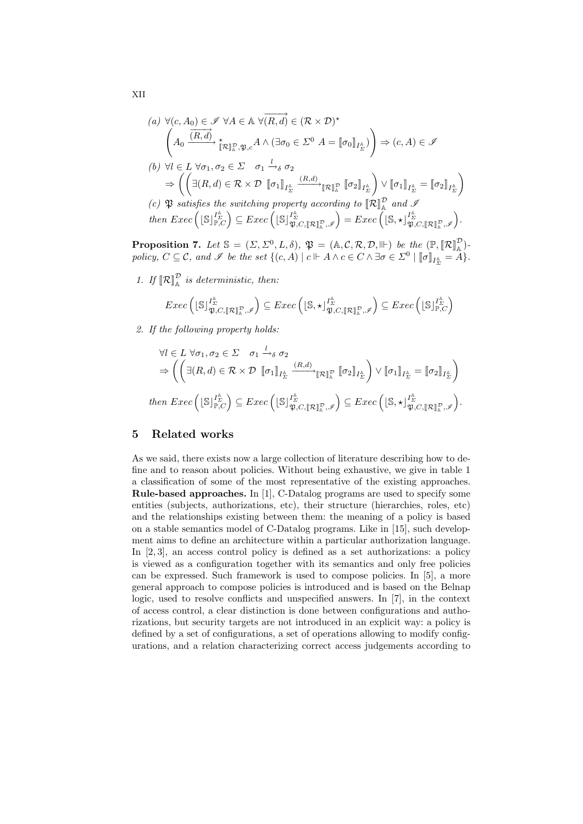(a) 
$$
\forall (c, A_0) \in \mathcal{I} \ \forall A \in \mathbb{A} \ \forall (\overrightarrow{R, d}) \in (\mathcal{R} \times \mathcal{D})^*
$$
  
\n
$$
\left(A_0 \xrightarrow{\overrightarrow{(R, d)}} \underset{\parallel \mathcal{R} \parallel \mathcal{R}}{\dfrac{\dfrac{\dfrac{\partial}{\partial \mathcal{R}}}{\dfrac{\dfrac{\partial}{\partial \mathcal{R}}}{\dfrac{\partial \mathcal{R}}}{\dfrac{\partial \mathcal{R}}}{\dfrac{\partial \mathcal{R}}}{\dfrac{\partial \mathcal{R}}}} \right) \Rightarrow (c, A) \in \mathcal{I}
$$
\n(b)  $\forall l \in L \ \forall \sigma_1, \sigma_2 \in \Sigma$   $\sigma_1 \xrightarrow{l} \sigma_0$   
\n $\Rightarrow \left(\left(\exists (R, d) \in \mathcal{R} \times \mathcal{D} \ [\![\sigma_1]\!]_{I^{\mathbb{A}}_{\Sigma}} \xrightarrow{\phantom{m}} [\mathcal{R} \mathbb{I} \mathcal{R} \ ]_{\mathcal{R}} \ [\![\sigma_2]\!]_{I^{\mathbb{A}}_{\Sigma}}\right) \vee [\![\sigma_1]\!]_{I^{\mathbb{A}}_{\Sigma}} = [\![\sigma_2]\!]_{I^{\mathbb{A}}_{\Sigma}}\right)$ \n(c)  $\mathfrak{P}$  satisfies the switching property according to  $\left[\![\mathcal{R} \!]_{\mathbb{A}}^{\mathcal{D}}$  and  $\mathcal{I}$   
\nthen  $\text{Exec}\left(\lfloor \mathcal{S} \rfloor \frac{I^{\mathbb{A}}_{\Sigma}}{\mathcal{R}, \mathcal{C}}\right) \subseteq \text{Exec}\left(\lfloor \mathcal{S} \rfloor \frac{I^{\mathbb{A}}_{\Sigma}}{\mathcal{R}, \mathcal{C}, \llbracket \mathcal{R} \rrbracket_{\mathbb{A}}^{\mathcal{R}}, \mathcal{I}}\right) = \text{Exec}\left(\lfloor \mathcal{S}, \star \rfloor \frac{I^{\mathbb{A}}_{\Sigma}}{\mathcal{R}, \mathcal{C}, \llbracket \mathcal{R} \rrbracket_{\mathbb{A}}^{\mathcal{R}}, \mathcal{I}}\right).$ 

**Proposition 7.** Let  $\mathbb{S} = (\Sigma, \Sigma^0, L, \delta), \mathfrak{P} = (\mathbb{A}, \mathcal{C}, \mathcal{R}, \mathcal{D}, \mathbb{P})$  be the  $(\mathbb{P}, [\mathcal{R}]_{\mathbb{A}}^{\mathcal{D}})$ . *policy,*  $C \subseteq \mathcal{C}$ *, and*  $\mathcal{I}$  *be the set*  $\{(c, A) | c \Vdash A \land c \in C \land \exists \sigma \in \Sigma^0 \mid [\![\sigma]\!]_{I_{\Sigma}^{\mathbb{A}}} = A\}.$ 

1. If  $\llbracket \mathcal{R} \rrbracket_{\mathbb{A}}^{\mathcal{D}}$  is deterministic, then:

$$
Exec\left(\lfloor \mathbb{S}\rfloor_{\mathfrak{P},C,\llbracket \mathcal{R}\rrbracket_{\mathbb{A}}^{\mathcal{P}},\mathscr{I}}^{\mathbb{A}}\right) \subseteqExec\left(\lfloor \mathbb{S},\star\rfloor_{\mathfrak{P},C,\llbracket \mathcal{R}\rrbracket_{\mathbb{A}}^{\mathcal{P}},\mathscr{I}}^{\mathbb{A}}\right) \subseteqExec\left(\lfloor \mathbb{S}\rfloor_{\mathbb{P},C}^{\mathbb{A}^{\mathcal{A}}}\right)
$$

*2. If the following property holds:*

$$
\forall l \in L \ \forall \sigma_1, \sigma_2 \in \Sigma \quad \sigma_1 \xrightarrow{l} \sigma_2
$$
\n
$$
\Rightarrow \left( \left( \exists (R, d) \in \mathcal{R} \times \mathcal{D} \ [\![\sigma_1]\!]_{I_{\Sigma}^{\mathbb{A}}} \xrightarrow{(R, d)} [\![\mathcal{R}]\!]_{\mathbb{A}}^{\mathbb{B}} \ [\![\sigma_2]\!]_{I_{\Sigma}^{\mathbb{A}}} \right) \vee [\![\sigma_1]\!]_{I_{\Sigma}^{\mathbb{A}}} = [\![\sigma_2]\!]_{I_{\Sigma}^{\mathbb{A}}} \right)
$$
\n
$$
\text{then } \text{Exec} \left( \lfloor \mathbb{S} \rfloor_{\mathbb{P}, C}^{I_{\Delta}^{\mathbb{A}}} \right) \subseteq \text{Exec} \left( \lfloor \mathbb{S} \rfloor_{\mathfrak{P}, C, [\![\mathcal{R}]\!]_{\mathbb{A}}^{\mathbb{B}}, \mathcal{I}}^{\mathbb{B}}} \right) \subseteq \text{Exec} \left( \lfloor \mathbb{S}, \star \rfloor_{\mathfrak{P}, C, [\![\mathcal{R}]\!]_{\mathbb{A}}^{\mathbb{B}}, \mathcal{I}}^{\mathbb{A}}} \right).
$$

#### 5 Related works

As we said, there exists now a large collection of literature describing how to define and to reason about policies. Without being exhaustive, we give in table 1 a classification of some of the most representative of the existing approaches. Rule-based approaches. In [1], C-Datalog programs are used to specify some entities (subjects, authorizations, etc), their structure (hierarchies, roles, etc) and the relationships existing between them: the meaning of a policy is based on a stable semantics model of C-Datalog programs. Like in [15], such development aims to define an architecture within a particular authorization language. In [2, 3], an access control policy is defined as a set authorizations: a policy is viewed as a configuration together with its semantics and only free policies can be expressed. Such framework is used to compose policies. In [5], a more general approach to compose policies is introduced and is based on the Belnap logic, used to resolve conflicts and unspecified answers. In [7], in the context of access control, a clear distinction is done between configurations and authorizations, but security targets are not introduced in an explicit way: a policy is defined by a set of configurations, a set of operations allowing to modify configurations, and a relation characterizing correct access judgements according to

XII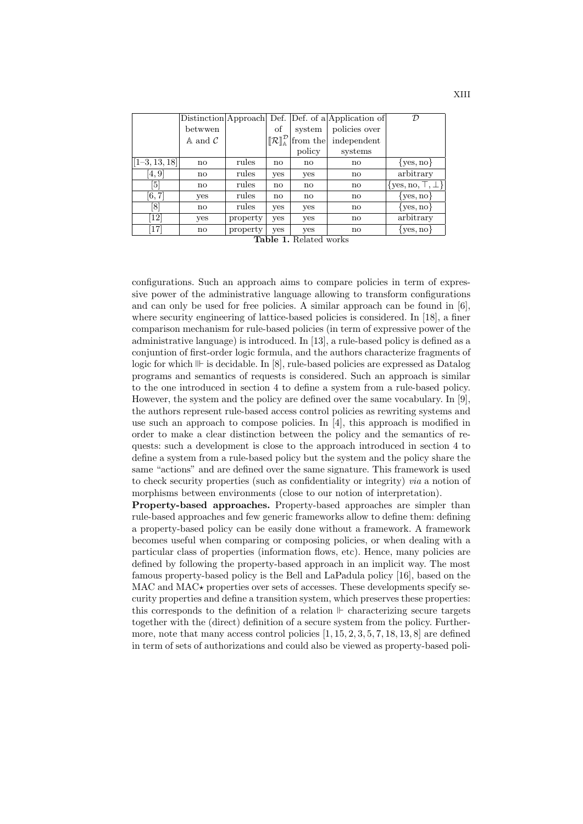|                 |                              |                           |                                                                        |                | Distinction Approach Def. Def. of a Application of | $\mathcal{D}$             |
|-----------------|------------------------------|---------------------------|------------------------------------------------------------------------|----------------|----------------------------------------------------|---------------------------|
|                 | betwwen                      |                           | οf                                                                     | system         | policies over                                      |                           |
|                 | $\mathbb A$ and $\mathcal C$ |                           | $\left[\!\left[\mathcal{R}\right]\!\right]^{\mathcal{D}}_{\mathbb{A}}$ | from the       | independent                                        |                           |
|                 |                              |                           |                                                                        | policy         | systems                                            |                           |
| $[1-3, 13, 18]$ | no                           | rules                     | no                                                                     | no             | no                                                 | $\{yes, no\}$             |
| [4,9]           | $\mathbf{n}$                 | rules                     | yes                                                                    | yes            | no                                                 | arbitrary                 |
| [5]             | no                           | rules                     | no                                                                     | no             | no                                                 | $\{yes, no, \top, \bot\}$ |
| [6, 7]          | yes                          | rules                     | no                                                                     | no             | no                                                 | $\{yes, no\}$             |
| [8]             | no                           | rules                     | yes                                                                    | yes            | $\mathbf{n}$                                       | $\{yes, no\}$             |
| 12              | yes                          | property                  | yes                                                                    | yes            | no                                                 | arbitrary                 |
| [17]            | no                           | property<br>$\sim$ $\sim$ | <b>ves</b><br>н.                                                       | yes<br>$T = 1$ | no                                                 | $\{yes, no\}$             |

Table 1. Related works

configurations. Such an approach aims to compare policies in term of expressive power of the administrative language allowing to transform configurations and can only be used for free policies. A similar approach can be found in [6], where security engineering of lattice-based policies is considered. In [18], a finer comparison mechanism for rule-based policies (in term of expressive power of the administrative language) is introduced. In [13], a rule-based policy is defined as a conjuntion of first-order logic formula, and the authors characterize fragments of logic for which  $\mathbb{I}$  is decidable. In [8], rule-based policies are expressed as Datalog programs and semantics of requests is considered. Such an approach is similar to the one introduced in section 4 to define a system from a rule-based policy. However, the system and the policy are defined over the same vocabulary. In [9], the authors represent rule-based access control policies as rewriting systems and use such an approach to compose policies. In [4], this approach is modified in order to make a clear distinction between the policy and the semantics of requests: such a development is close to the approach introduced in section 4 to define a system from a rule-based policy but the system and the policy share the same "actions" and are defined over the same signature. This framework is used to check security properties (such as confidentiality or integrity) *via* a notion of morphisms between environments (close to our notion of interpretation).

Property-based approaches. Property-based approaches are simpler than rule-based approaches and few generic frameworks allow to define them: defining a property-based policy can be easily done without a framework. A framework becomes useful when comparing or composing policies, or when dealing with a particular class of properties (information flows, etc). Hence, many policies are defined by following the property-based approach in an implicit way. The most famous property-based policy is the Bell and LaPadula policy [16], based on the  $MAC$  and  $MAC\star$  properties over sets of accesses. These developments specify security properties and define a transition system, which preserves these properties: this corresponds to the definition of a relation  $\mathbb F$  characterizing secure targets together with the (direct) definition of a secure system from the policy. Furthermore, note that many access control policies  $[1, 15, 2, 3, 5, 7, 18, 13, 8]$  are defined in term of sets of authorizations and could also be viewed as property-based poli-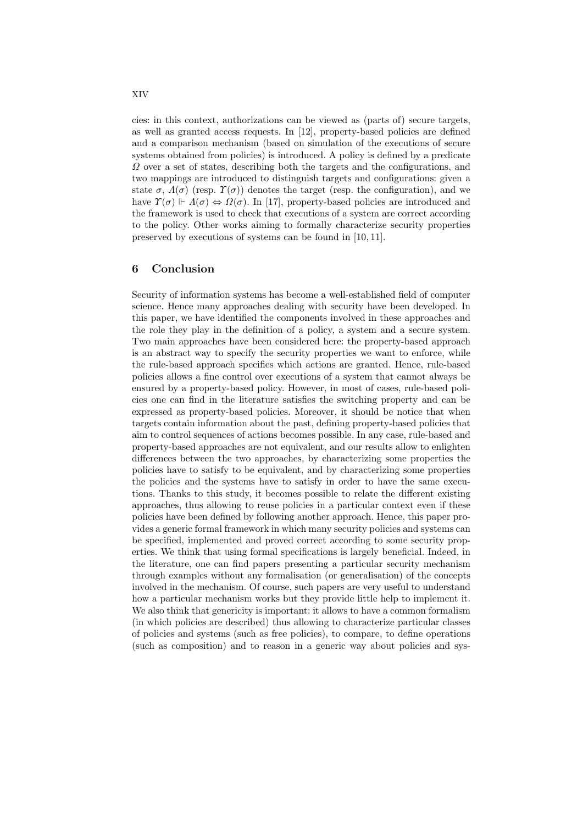cies: in this context, authorizations can be viewed as (parts of) secure targets, as well as granted access requests. In [12], property-based policies are defined and a comparison mechanism (based on simulation of the executions of secure systems obtained from policies) is introduced. A policy is defined by a predicate  $\Omega$  over a set of states, describing both the targets and the configurations, and two mappings are introduced to distinguish targets and configurations: given a state  $\sigma$ ,  $\Lambda(\sigma)$  (resp.  $\Upsilon(\sigma)$ ) denotes the target (resp. the configuration), and we have  $\Upsilon(\sigma) \Vdash \Lambda(\sigma) \Leftrightarrow \Omega(\sigma)$ . In [17], property-based policies are introduced and the framework is used to check that executions of a system are correct according to the policy. Other works aiming to formally characterize security properties preserved by executions of systems can be found in [10, 11].

#### 6 Conclusion

Security of information systems has become a well-established field of computer science. Hence many approaches dealing with security have been developed. In this paper, we have identified the components involved in these approaches and the role they play in the definition of a policy, a system and a secure system. Two main approaches have been considered here: the property-based approach is an abstract way to specify the security properties we want to enforce, while the rule-based approach specifies which actions are granted. Hence, rule-based policies allows a fine control over executions of a system that cannot always be ensured by a property-based policy. However, in most of cases, rule-based policies one can find in the literature satisfies the switching property and can be expressed as property-based policies. Moreover, it should be notice that when targets contain information about the past, defining property-based policies that aim to control sequences of actions becomes possible. In any case, rule-based and property-based approaches are not equivalent, and our results allow to enlighten differences between the two approaches, by characterizing some properties the policies have to satisfy to be equivalent, and by characterizing some properties the policies and the systems have to satisfy in order to have the same executions. Thanks to this study, it becomes possible to relate the different existing approaches, thus allowing to reuse policies in a particular context even if these policies have been defined by following another approach. Hence, this paper provides a generic formal framework in which many security policies and systems can be specified, implemented and proved correct according to some security properties. We think that using formal specifications is largely beneficial. Indeed, in the literature, one can find papers presenting a particular security mechanism through examples without any formalisation (or generalisation) of the concepts involved in the mechanism. Of course, such papers are very useful to understand how a particular mechanism works but they provide little help to implement it. We also think that genericity is important: it allows to have a common formalism (in which policies are described) thus allowing to characterize particular classes of policies and systems (such as free policies), to compare, to define operations (such as composition) and to reason in a generic way about policies and sys